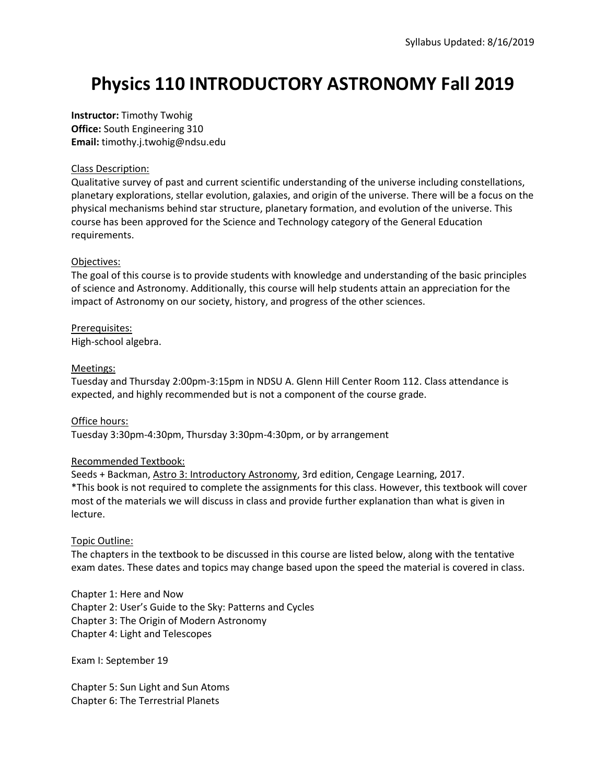# **Physics 110 INTRODUCTORY ASTRONOMY Fall 2019**

**Instructor:** Timothy Twohig **Office:** South Engineering 310 **Email:** timothy.j.twohig@ndsu.edu

# Class Description:

Qualitative survey of past and current scientific understanding of the universe including constellations, planetary explorations, stellar evolution, galaxies, and origin of the universe. There will be a focus on the physical mechanisms behind star structure, planetary formation, and evolution of the universe. This course has been approved for the Science and Technology category of the General Education requirements.

# Objectives:

The goal of this course is to provide students with knowledge and understanding of the basic principles of science and Astronomy. Additionally, this course will help students attain an appreciation for the impact of Astronomy on our society, history, and progress of the other sciences.

Prerequisites: High-school algebra.

# Meetings:

Tuesday and Thursday 2:00pm-3:15pm in NDSU A. Glenn Hill Center Room 112. Class attendance is expected, and highly recommended but is not a component of the course grade.

# Office hours:

Tuesday 3:30pm-4:30pm, Thursday 3:30pm-4:30pm, or by arrangement

# Recommended Textbook:

Seeds + Backman, Astro 3: Introductory Astronomy, 3rd edition, Cengage Learning, 2017. \*This book is not required to complete the assignments for this class. However, this textbook will cover most of the materials we will discuss in class and provide further explanation than what is given in lecture.

# Topic Outline:

The chapters in the textbook to be discussed in this course are listed below, along with the tentative exam dates. These dates and topics may change based upon the speed the material is covered in class.

Chapter 1: Here and Now Chapter 2: User's Guide to the Sky: Patterns and Cycles Chapter 3: The Origin of Modern Astronomy Chapter 4: Light and Telescopes

Exam I: September 19

Chapter 5: Sun Light and Sun Atoms Chapter 6: The Terrestrial Planets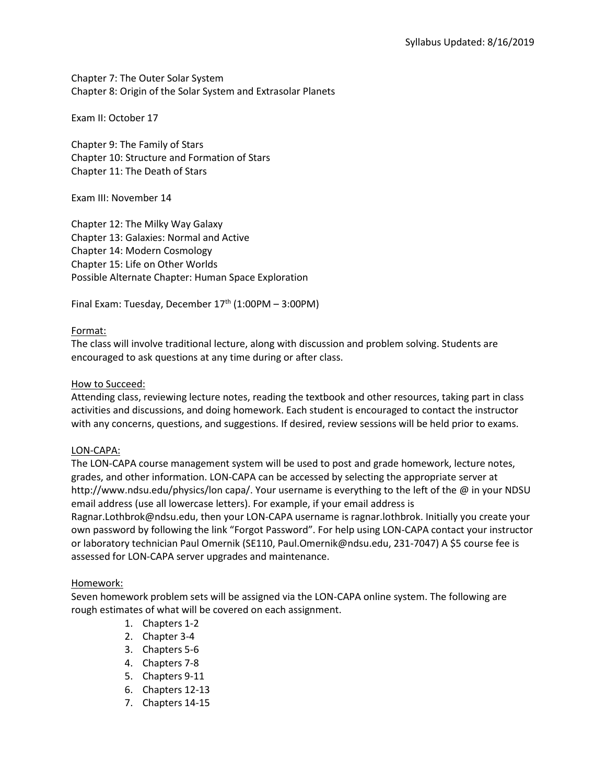Chapter 7: The Outer Solar System Chapter 8: Origin of the Solar System and Extrasolar Planets

Exam II: October 17

Chapter 9: The Family of Stars Chapter 10: Structure and Formation of Stars Chapter 11: The Death of Stars

Exam III: November 14

Chapter 12: The Milky Way Galaxy Chapter 13: Galaxies: Normal and Active Chapter 14: Modern Cosmology Chapter 15: Life on Other Worlds Possible Alternate Chapter: Human Space Exploration

Final Exam: Tuesday, December 17<sup>th</sup> (1:00PM - 3:00PM)

#### Format:

The class will involve traditional lecture, along with discussion and problem solving. Students are encouraged to ask questions at any time during or after class.

#### How to Succeed:

Attending class, reviewing lecture notes, reading the textbook and other resources, taking part in class activities and discussions, and doing homework. Each student is encouraged to contact the instructor with any concerns, questions, and suggestions. If desired, review sessions will be held prior to exams.

#### LON-CAPA:

The LON-CAPA course management system will be used to post and grade homework, lecture notes, grades, and other information. LON-CAPA can be accessed by selecting the appropriate server at http://www.ndsu.edu/physics/lon capa/. Your username is everything to the left of the @ in your NDSU email address (use all lowercase letters). For example, if your email address is

Ragnar.Lothbrok@ndsu.edu, then your LON-CAPA username is ragnar.lothbrok. Initially you create your own password by following the link "Forgot Password". For help using LON-CAPA contact your instructor or laboratory technician Paul Omernik (SE110, Paul.Omernik@ndsu.edu, 231-7047) A \$5 course fee is assessed for LON-CAPA server upgrades and maintenance.

# Homework:

Seven homework problem sets will be assigned via the LON-CAPA online system. The following are rough estimates of what will be covered on each assignment.

- 1. Chapters 1-2
- 2. Chapter 3-4
- 3. Chapters 5-6
- 4. Chapters 7-8
- 5. Chapters 9-11
- 6. Chapters 12-13
- 7. Chapters 14-15